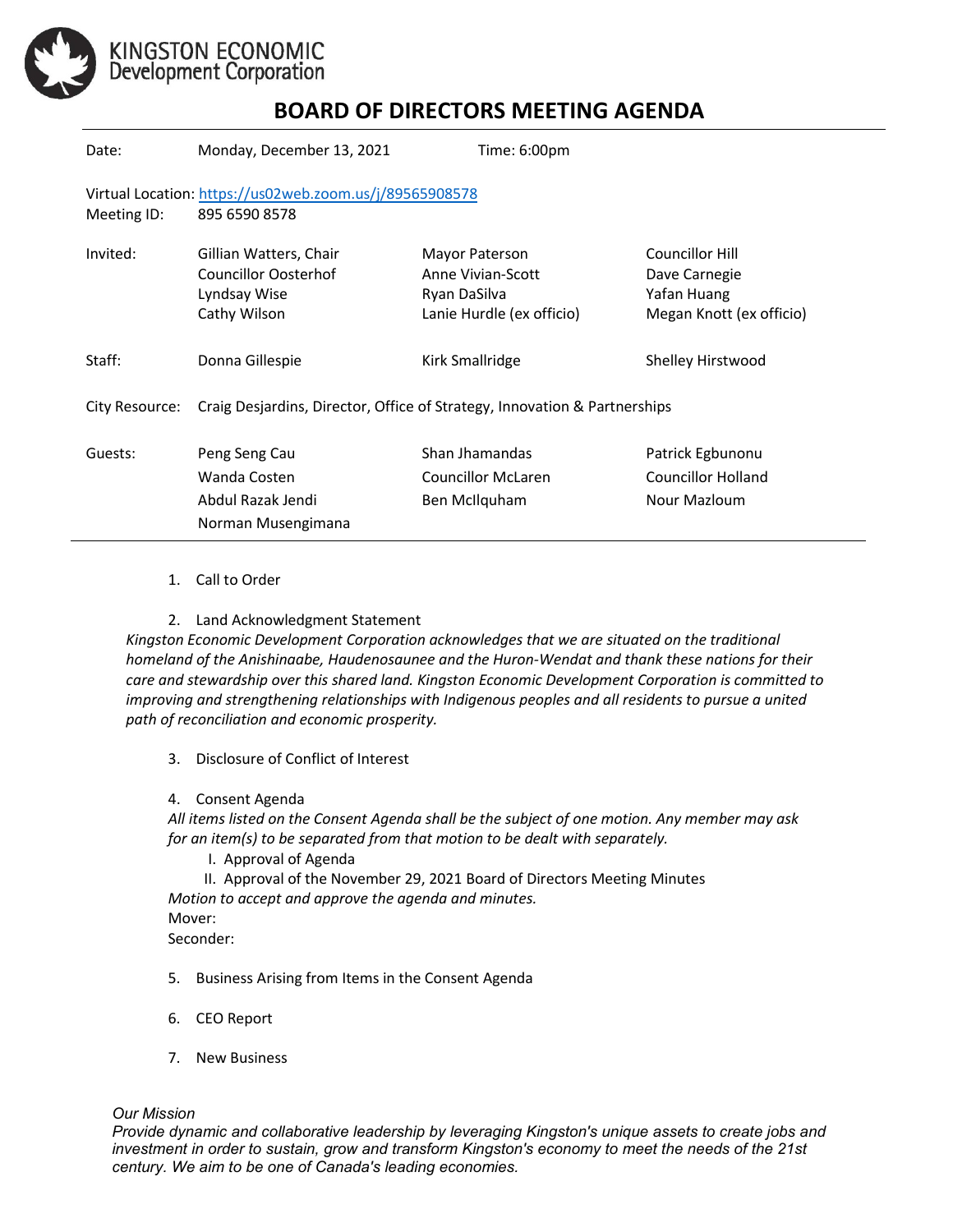

KINGSTON ECONOMIC<br>Development Corporation

## **BOARD OF DIRECTORS MEETING AGENDA**

| Date:          | Monday, December 13, 2021                                                             | Time: 6:00pm                                                                     |                                                                                    |
|----------------|---------------------------------------------------------------------------------------|----------------------------------------------------------------------------------|------------------------------------------------------------------------------------|
| Meeting ID:    | Virtual Location: https://us02web.zoom.us/j/89565908578<br>895 6590 8578              |                                                                                  |                                                                                    |
| Invited:       | Gillian Watters, Chair<br><b>Councillor Oosterhof</b><br>Lyndsay Wise<br>Cathy Wilson | Mayor Paterson<br>Anne Vivian-Scott<br>Ryan DaSilva<br>Lanie Hurdle (ex officio) | <b>Councillor Hill</b><br>Dave Carnegie<br>Yafan Huang<br>Megan Knott (ex officio) |
| Staff:         | Donna Gillespie                                                                       | Kirk Smallridge                                                                  | Shelley Hirstwood                                                                  |
| City Resource: | Craig Desjardins, Director, Office of Strategy, Innovation & Partnerships             |                                                                                  |                                                                                    |
| Guests:        | Peng Seng Cau<br>Wanda Costen<br>Abdul Razak Jendi<br>Norman Musengimana              | Shan Jhamandas<br>Councillor McLaren<br>Ben McIlquham                            | Patrick Egbunonu<br><b>Councillor Holland</b><br>Nour Mazloum                      |

- 1. Call to Order
- 2. Land Acknowledgment Statement

*Kingston Economic Development Corporation acknowledges that we are situated on the traditional homeland of the Anishinaabe, Haudenosaunee and the Huron-Wendat and thank these nations for their care and stewardship over this shared land. Kingston Economic Development Corporation is committed to improving and strengthening relationships with Indigenous peoples and all residents to pursue a united path of reconciliation and economic prosperity.*

- 3. Disclosure of Conflict of Interest
- 4. Consent Agenda

*All items listed on the Consent Agenda shall be the subject of one motion. Any member may ask for an item(s) to be separated from that motion to be dealt with separately.*

I. Approval of Agenda

II. Approval of the November 29, 2021 Board of Directors Meeting Minutes *Motion to accept and approve the agenda and minutes.*  Mover: Seconder:

- 5. Business Arising from Items in the Consent Agenda
- 6. CEO Report
- 7. New Business

## *Our Mission*

*Provide dynamic and collaborative leadership by leveraging Kingston's unique assets to create jobs and investment in order to sustain, grow and transform Kingston's economy to meet the needs of the 21st century. We aim to be one of Canada's leading economies.*